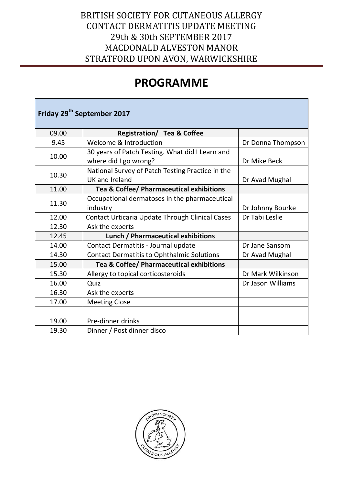## BRITISH SOCIETY FOR CUTANEOUS ALLERGY CONTACT DERMATITIS UPDATE MEETING 29th & 30th SEPTEMBER 2017 MACDONALD ALVESTON MANOR STRATFORD UPON AVON, WARWICKSHIRE

## **PROGRAMME**

| Friday 29 <sup>th</sup> September 2017 |                                                        |                   |  |
|----------------------------------------|--------------------------------------------------------|-------------------|--|
|                                        |                                                        |                   |  |
| 09.00                                  | Registration/ Tea & Coffee                             |                   |  |
| 9.45                                   | Welcome & Introduction                                 | Dr Donna Thompson |  |
| 10.00                                  | 30 years of Patch Testing. What did I Learn and        |                   |  |
|                                        | where did I go wrong?                                  | Dr Mike Beck      |  |
| 10.30                                  | National Survey of Patch Testing Practice in the       |                   |  |
|                                        | <b>UK and Ireland</b>                                  | Dr Avad Mughal    |  |
| 11.00                                  | <b>Tea &amp; Coffee/ Pharmaceutical exhibitions</b>    |                   |  |
| 11.30                                  | Occupational dermatoses in the pharmaceutical          |                   |  |
|                                        | industry                                               | Dr Johnny Bourke  |  |
| 12.00                                  | <b>Contact Urticaria Update Through Clinical Cases</b> | Dr Tabi Leslie    |  |
| 12.30                                  | Ask the experts                                        |                   |  |
| 12.45                                  | <b>Lunch / Pharmaceutical exhibitions</b>              |                   |  |
| 14.00                                  | Contact Dermatitis - Journal update                    | Dr Jane Sansom    |  |
| 14.30                                  | <b>Contact Dermatitis to Ophthalmic Solutions</b>      | Dr Avad Mughal    |  |
| 15.00                                  | Tea & Coffee/ Pharmaceutical exhibitions               |                   |  |
| 15.30                                  | Allergy to topical corticosteroids                     | Dr Mark Wilkinson |  |
| 16.00                                  | Quiz                                                   | Dr Jason Williams |  |
| 16.30                                  | Ask the experts                                        |                   |  |
| 17.00                                  | <b>Meeting Close</b>                                   |                   |  |
|                                        |                                                        |                   |  |
| 19.00                                  | Pre-dinner drinks                                      |                   |  |
| 19.30                                  | Dinner / Post dinner disco                             |                   |  |